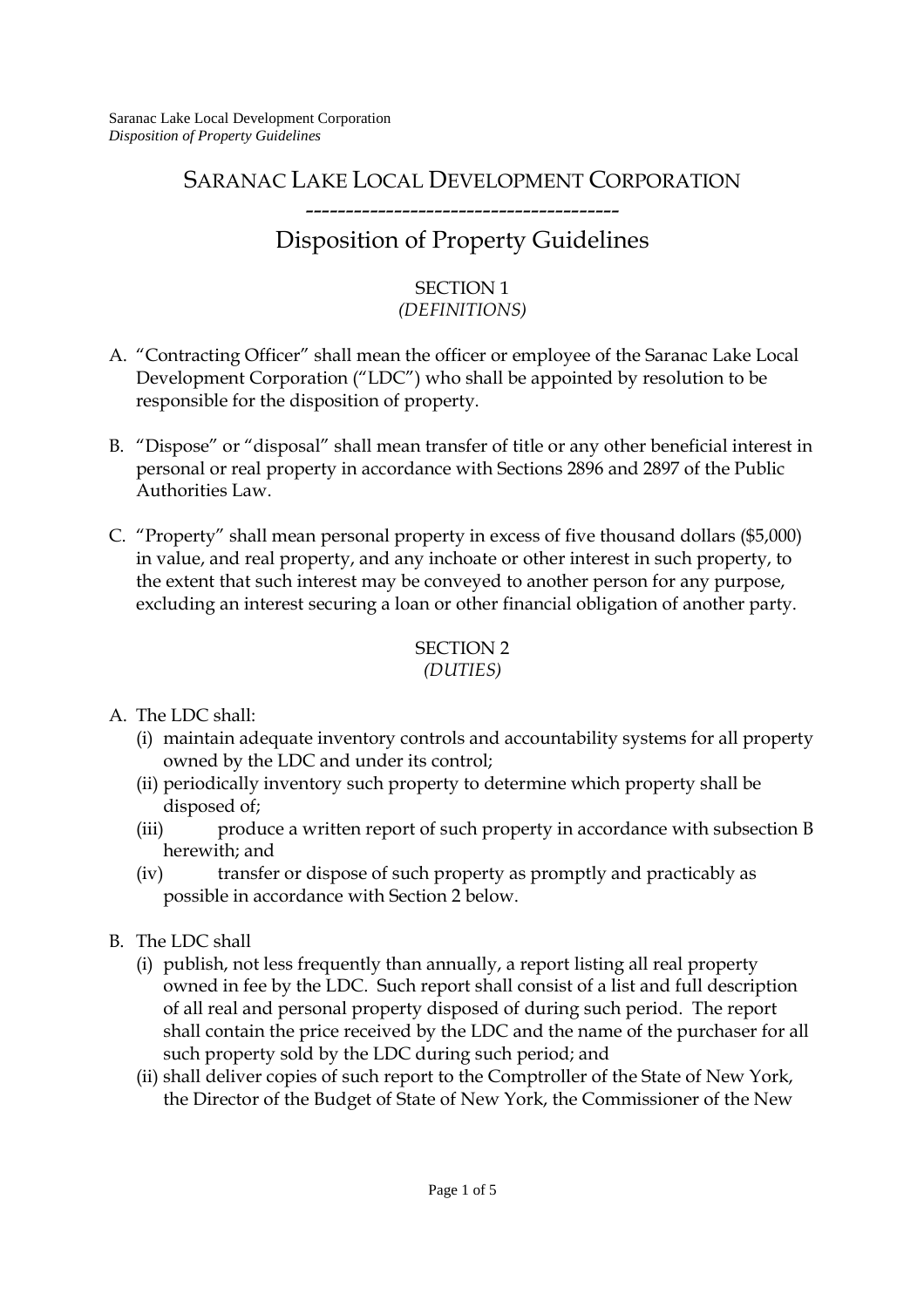# SARANAC LAKE LOCAL DEVELOPMENT CORPORATION

## --------------------------------------- Disposition of Property Guidelines

#### SECTION 1 *(DEFINITIONS)*

- A. "Contracting Officer" shall mean the officer or employee of the Saranac Lake Local Development Corporation ("LDC") who shall be appointed by resolution to be responsible for the disposition of property.
- B. "Dispose" or "disposal" shall mean transfer of title or any other beneficial interest in personal or real property in accordance with Sections 2896 and 2897 of the Public Authorities Law.
- C. "Property" shall mean personal property in excess of five thousand dollars (\$5,000) in value, and real property, and any inchoate or other interest in such property, to the extent that such interest may be conveyed to another person for any purpose, excluding an interest securing a loan or other financial obligation of another party.

#### SECTION 2 *(DUTIES)*

- A. The LDC shall:
	- (i) maintain adequate inventory controls and accountability systems for all property owned by the LDC and under its control;
	- (ii) periodically inventory such property to determine which property shall be disposed of;
	- (iii) produce a written report of such property in accordance with subsection B herewith; and
	- (iv) transfer or dispose of such property as promptly and practicably as possible in accordance with Section 2 below.
- B. The LDC shall
	- (i) publish, not less frequently than annually, a report listing all real property owned in fee by the LDC. Such report shall consist of a list and full description of all real and personal property disposed of during such period. The report shall contain the price received by the LDC and the name of the purchaser for all such property sold by the LDC during such period; and
	- (ii) shall deliver copies of such report to the Comptroller of the State of New York, the Director of the Budget of State of New York, the Commissioner of the New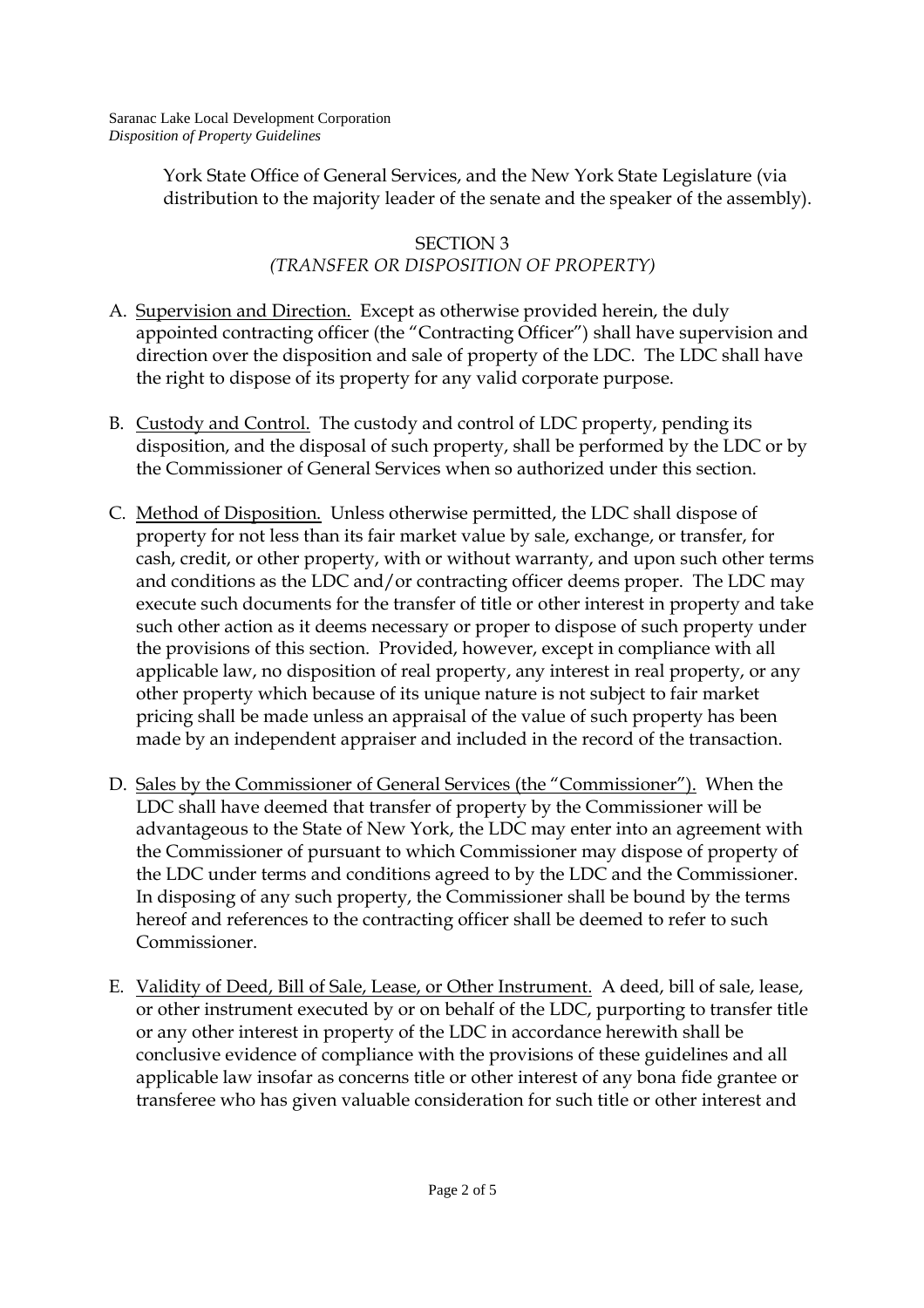York State Office of General Services, and the New York State Legislature (via distribution to the majority leader of the senate and the speaker of the assembly).

### SECTION 3 *(TRANSFER OR DISPOSITION OF PROPERTY)*

- A. Supervision and Direction. Except as otherwise provided herein, the duly appointed contracting officer (the "Contracting Officer") shall have supervision and direction over the disposition and sale of property of the LDC. The LDC shall have the right to dispose of its property for any valid corporate purpose.
- B. Custody and Control. The custody and control of LDC property, pending its disposition, and the disposal of such property, shall be performed by the LDC or by the Commissioner of General Services when so authorized under this section.
- C. Method of Disposition. Unless otherwise permitted, the LDC shall dispose of property for not less than its fair market value by sale, exchange, or transfer, for cash, credit, or other property, with or without warranty, and upon such other terms and conditions as the LDC and/or contracting officer deems proper. The LDC may execute such documents for the transfer of title or other interest in property and take such other action as it deems necessary or proper to dispose of such property under the provisions of this section. Provided, however, except in compliance with all applicable law, no disposition of real property, any interest in real property, or any other property which because of its unique nature is not subject to fair market pricing shall be made unless an appraisal of the value of such property has been made by an independent appraiser and included in the record of the transaction.
- D. Sales by the Commissioner of General Services (the "Commissioner"). When the LDC shall have deemed that transfer of property by the Commissioner will be advantageous to the State of New York, the LDC may enter into an agreement with the Commissioner of pursuant to which Commissioner may dispose of property of the LDC under terms and conditions agreed to by the LDC and the Commissioner. In disposing of any such property, the Commissioner shall be bound by the terms hereof and references to the contracting officer shall be deemed to refer to such Commissioner.
- E. Validity of Deed, Bill of Sale, Lease, or Other Instrument. A deed, bill of sale, lease, or other instrument executed by or on behalf of the LDC, purporting to transfer title or any other interest in property of the LDC in accordance herewith shall be conclusive evidence of compliance with the provisions of these guidelines and all applicable law insofar as concerns title or other interest of any bona fide grantee or transferee who has given valuable consideration for such title or other interest and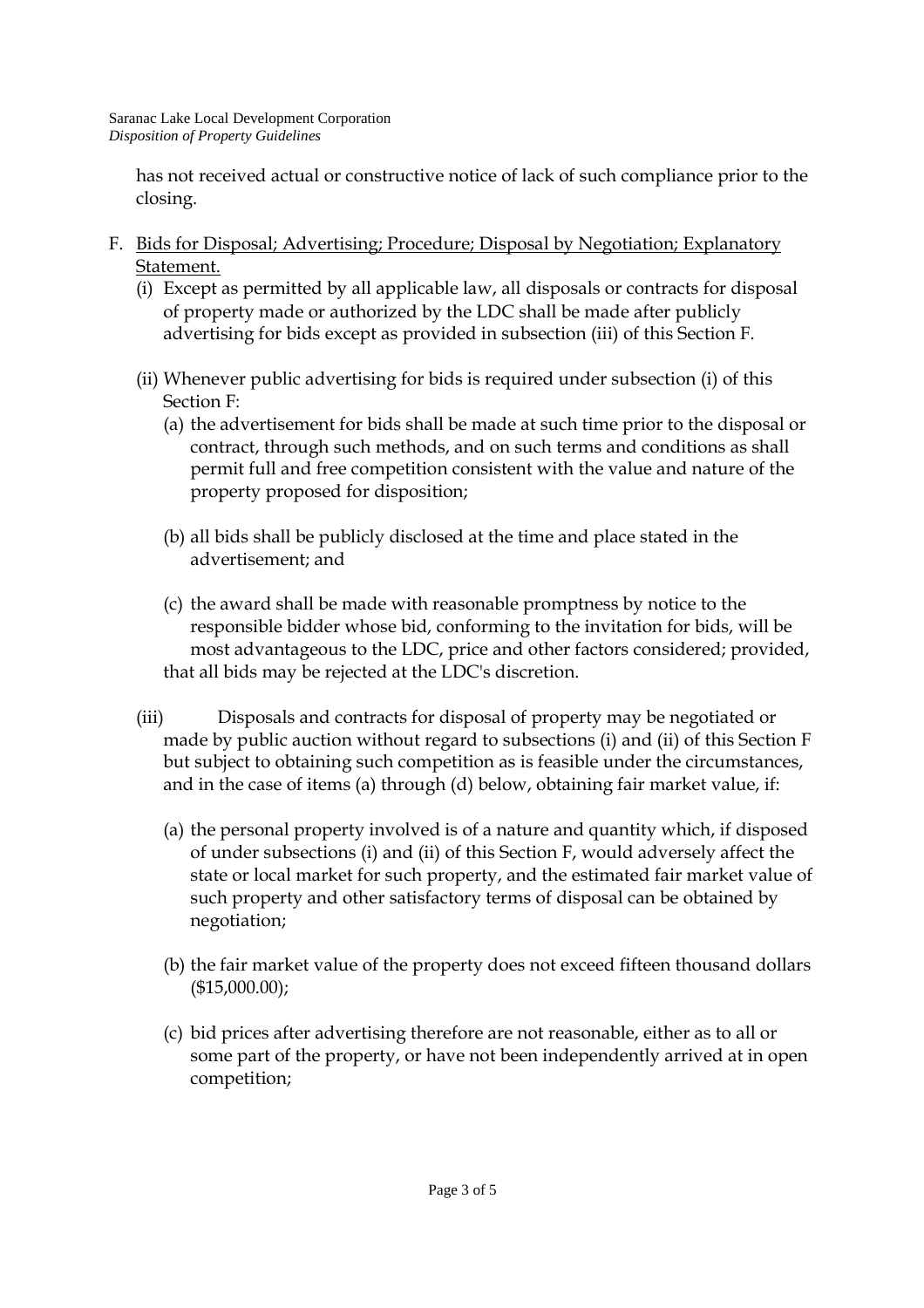has not received actual or constructive notice of lack of such compliance prior to the closing.

- F. Bids for Disposal; Advertising; Procedure; Disposal by Negotiation; Explanatory Statement.
	- (i) Except as permitted by all applicable law, all disposals or contracts for disposal of property made or authorized by the LDC shall be made after publicly advertising for bids except as provided in subsection (iii) of this Section F.
	- (ii) Whenever public advertising for bids is required under subsection (i) of this Section F:
		- (a) the advertisement for bids shall be made at such time prior to the disposal or contract, through such methods, and on such terms and conditions as shall permit full and free competition consistent with the value and nature of the property proposed for disposition;
		- (b) all bids shall be publicly disclosed at the time and place stated in the advertisement; and
		- (c) the award shall be made with reasonable promptness by notice to the responsible bidder whose bid, conforming to the invitation for bids, will be most advantageous to the LDC, price and other factors considered; provided, that all bids may be rejected at the LDC's discretion.
	- (iii) Disposals and contracts for disposal of property may be negotiated or made by public auction without regard to subsections (i) and (ii) of this Section F but subject to obtaining such competition as is feasible under the circumstances, and in the case of items (a) through (d) below, obtaining fair market value, if:
		- (a) the personal property involved is of a nature and quantity which, if disposed of under subsections (i) and (ii) of this Section F, would adversely affect the state or local market for such property, and the estimated fair market value of such property and other satisfactory terms of disposal can be obtained by negotiation;
		- (b) the fair market value of the property does not exceed fifteen thousand dollars (\$15,000.00);
		- (c) bid prices after advertising therefore are not reasonable, either as to all or some part of the property, or have not been independently arrived at in open competition;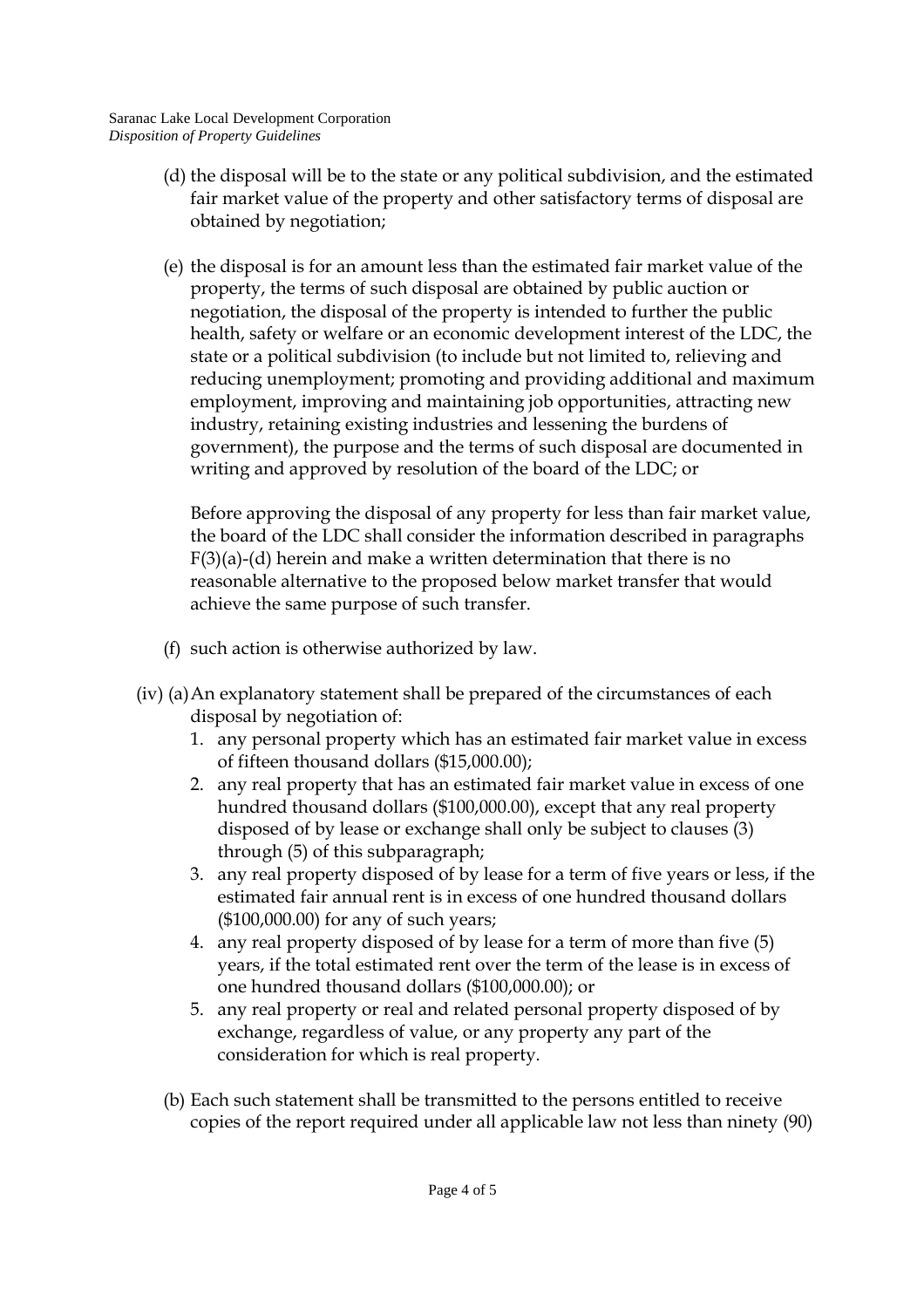- (d) the disposal will be to the state or any political subdivision, and the estimated fair market value of the property and other satisfactory terms of disposal are obtained by negotiation;
- (e) the disposal is for an amount less than the estimated fair market value of the property, the terms of such disposal are obtained by public auction or negotiation, the disposal of the property is intended to further the public health, safety or welfare or an economic development interest of the LDC, the state or a political subdivision (to include but not limited to, relieving and reducing unemployment; promoting and providing additional and maximum employment, improving and maintaining job opportunities, attracting new industry, retaining existing industries and lessening the burdens of government), the purpose and the terms of such disposal are documented in writing and approved by resolution of the board of the LDC; or

Before approving the disposal of any property for less than fair market value, the board of the LDC shall consider the information described in paragraphs F(3)(a)-(d) herein and make a written determination that there is no reasonable alternative to the proposed below market transfer that would achieve the same purpose of such transfer.

- (f) such action is otherwise authorized by law.
- (iv) (a) An explanatory statement shall be prepared of the circumstances of each disposal by negotiation of:
	- 1. any personal property which has an estimated fair market value in excess of fifteen thousand dollars (\$15,000.00);
	- 2. any real property that has an estimated fair market value in excess of one hundred thousand dollars (\$100,000.00), except that any real property disposed of by lease or exchange shall only be subject to clauses (3) through (5) of this subparagraph;
	- 3. any real property disposed of by lease for a term of five years or less, if the estimated fair annual rent is in excess of one hundred thousand dollars (\$100,000.00) for any of such years;
	- 4. any real property disposed of by lease for a term of more than five (5) years, if the total estimated rent over the term of the lease is in excess of one hundred thousand dollars (\$100,000.00); or
	- 5. any real property or real and related personal property disposed of by exchange, regardless of value, or any property any part of the consideration for which is real property.
	- (b) Each such statement shall be transmitted to the persons entitled to receive copies of the report required under all applicable law not less than ninety (90)